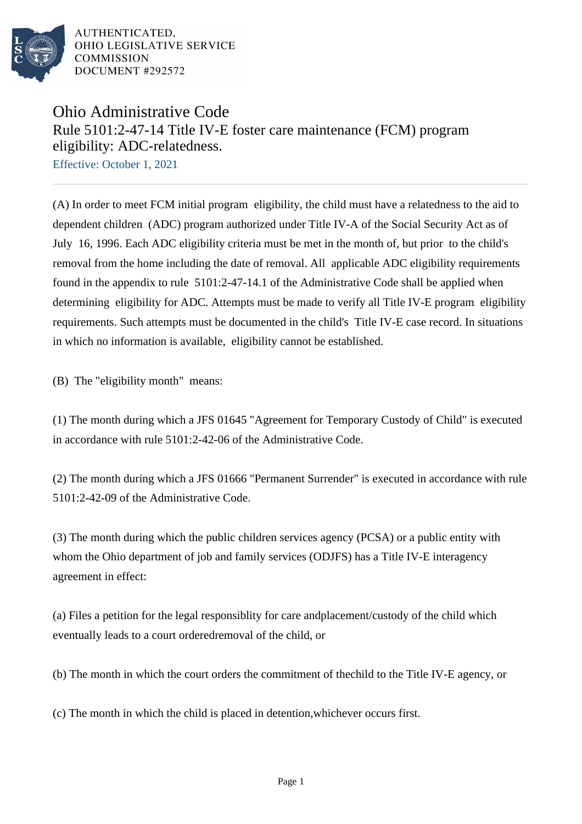

## Ohio Administrative Code Rule 5101:2-47-14 Title IV-E foster care maintenance (FCM) program eligibility: ADC-relatedness.

Effective: October 1, 2021

(A) In order to meet FCM initial program eligibility, the child must have a relatedness to the aid to dependent children (ADC) program authorized under Title IV-A of the Social Security Act as of July 16, 1996. Each ADC eligibility criteria must be met in the month of, but prior to the child's removal from the home including the date of removal. All applicable ADC eligibility requirements found in the appendix to rule 5101:2-47-14.1 of the Administrative Code shall be applied when determining eligibility for ADC. Attempts must be made to verify all Title IV-E program eligibility requirements. Such attempts must be documented in the child's Title IV-E case record. In situations in which no information is available, eligibility cannot be established.

(B) The "eligibility month" means:

(1) The month during which a JFS 01645 "Agreement for Temporary Custody of Child" is executed in accordance with rule  $5101:2-42-06$  of the Administrative Code.

(2) The month during which a JFS 01666 "Permanent Surrender" is executed in accordance with rule 5101:2-42-09 of the Administrative Code.

(3) The month during which the public children services agency (PCSA) or a public entity with whom the Ohio department of job and family services (ODJFS) has a Title IV-E interagency agreement in effect:

(a) Files a petition for the legal responsiblity for care and placement/custody of the child which eventually leads to a court ordered removal of the child, or

(b) The month in which the court orders the commitment of the child to the Title IV-E agency, or

(c) The month in which the child is placed in detention, whichever occurs first.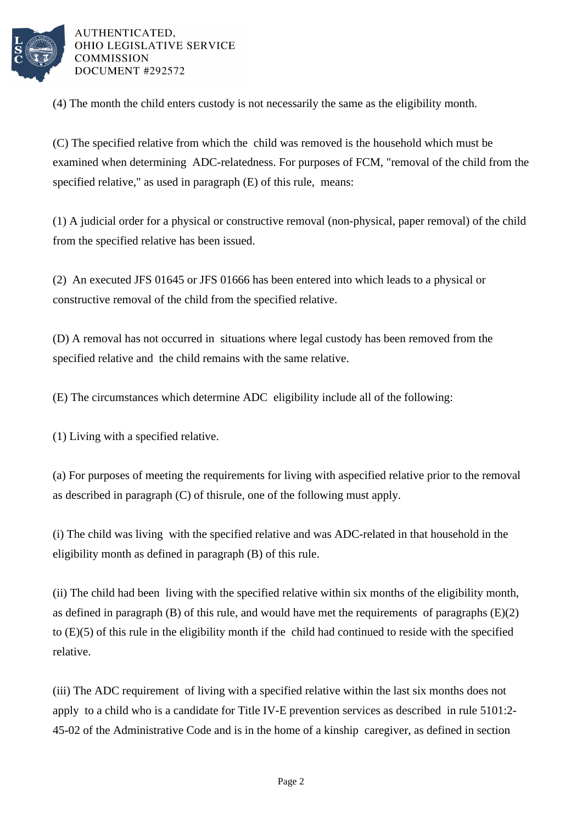

(4) The month the child enters custody is not necessarily the same as the eligibility month.

(C) The specified relative from which the child was removed is the household which must be examined when determining ADC-relatedness. For purposes of FCM, "removal of the child from the specified relative," as used in paragraph (E) of this rule, means:

 $(1)$  A judicial order for a physical or constructive removal (non-physical, paper removal) of the child from the specified relative has been issued.

(2) An executed JFS 01645 or JFS 01666 has been entered into which leads to a physical or constructive removal of the child from the specified relative.

(D) A removal has not occurred in situations where legal custody has been removed from the specified relative and the child remains with the same relative.

(E) The circumstances which determine ADC eligibility include all of the following:

(1) Living with a specified relative.

(a) For purposes of meeting the requirements for living with a specified relative prior to the removal as described in paragraph  $(C)$  of this rule, one of the following must apply.

(i) The child was living with the specified relative and was ADC-related in that household in the eligibility month as defined in paragraph (B) of this rule.

(ii) The child had been living with the specified relative within six months of the eligibility month, as defined in paragraph  $(B)$  of this rule, and would have met the requirements of paragraphs  $(E)(2)$ to  $(E)(5)$  of this rule in the eligibility month if the child had continued to reside with the specified relative.

(iii) The ADC requirement of living with a specified relative within the last six months does not apply to a child who is a candidate for Title IV-E prevention services as described in rule 5101:2-45-02 of the Administrative Code and is in the home of a kinship caregiver, as defined in section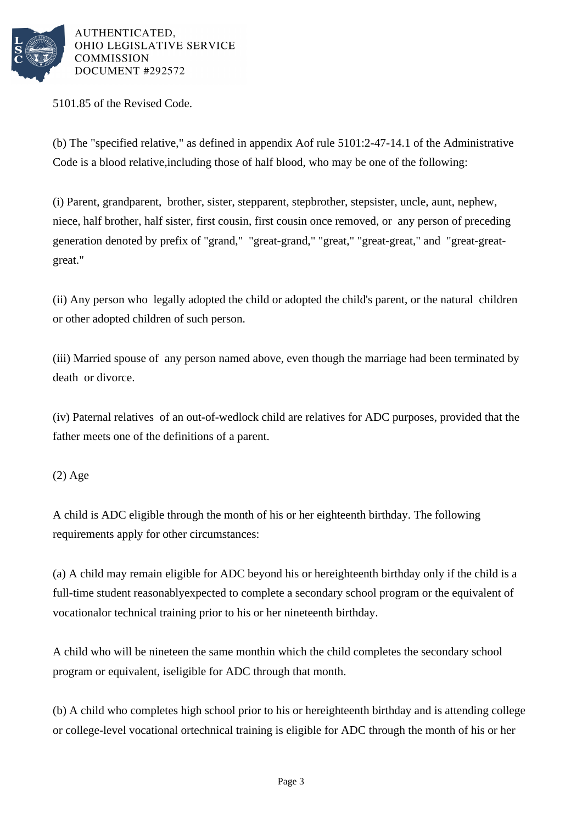

5101.85 of the Revised Code.

(b) The "specified relative," as defined in appendix A of rule 5101:2-47-14.1 of the Administrative Code is a blood relative, including those of half blood, who may be one of the following:

(i) Parent, grandparent, brother, sister, stepparent, stepbrother, stepsister, uncle, aunt, nephew, niece, half brother, half sister, first cousin, first cousin once removed, or any person of preceding generation denoted by prefix of "grand," "great-grand," "great," "great-great," and "great-greatgreat."

(ii) Any person who legally adopted the child or adopted the child's parent, or the natural children or other adopted children of such person.

(iii) Married spouse of any person named above, even though the marriage had been terminated by death or divorce.

(iv) Paternal relatives of an out-of-wedlock child are relatives for ADC purposes, provided that the father meets one of the definitions of a parent.

## (2) Age

A child is ADC eligible through the month of his or her eighteenth birthday. The following requirements apply for other circumstances:

(a) A child may remain eligible for ADC beyond his or her eighteenth birthday only if the child is a full-time student reasonably expected to complete a secondary school program or the equivalent of vocational or technical training prior to his or her nineteenth birthday.

A child who will be nineteen the same month in which the child completes the secondary school program or equivalent, is eligible for ADC through that month.

(b) A child who completes high school prior to his or her eighteenth birthday and is attending college or college-level vocational or technical training is eligible for ADC through the month of his or her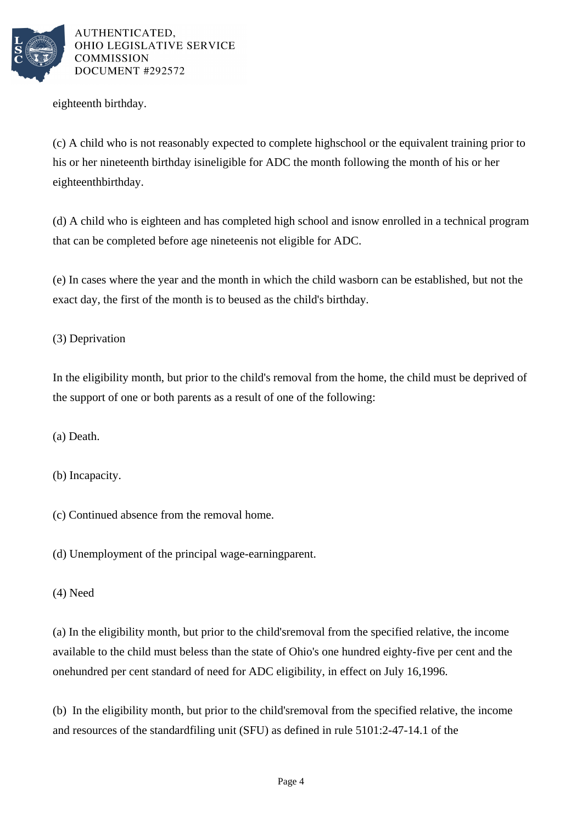

eighteenth birthday.

(c) A child who is not reasonably expected to complete high school or the equivalent training prior to his or her nineteenth birthday is ineligible for ADC the month following the month of his or her eighteenth birthday.

(d) A child who is eighteen and has completed high school and is now enrolled in a technical program that can be completed before age nineteen is not eligible for ADC.

(e) In cases where the year and the month in which the child was born can be established, but not the exact day, the first of the month is to be used as the child's birthday.

(3) Deprivation

In the eligibility month, but prior to the child's removal from the home, the child must be deprived of the support of one or both parents as a result of one of the following:

(a) Death.

(b) Incapacity.

(c) Continued absence from the removal home.

(d) Unemployment of the principal wage-earning parent.

(4) Need

(a) In the eligibility month, but prior to the child's removal from the specified relative, the income available to the child must be less than the state of Ohio's one hundred eighty-five per cent and the one hundred per cent standard of need for ADC eligibility, in effect on July 16, 1996.

(b) In the eligibility month, but prior to the child's removal from the specified relative, the income and resources of the standard filing unit (SFU) as defined in rule 5101:2-47-14.1 of the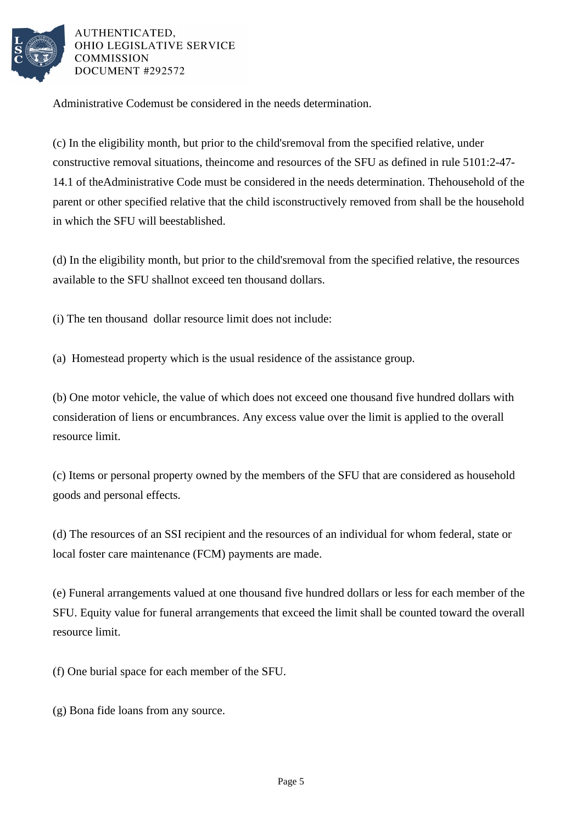

Administrative Code must be considered in the needs determination.

(c) In the eligibility month, but prior to the child's removal from the specified relative, under constructive removal situations, the income and resources of the SFU as defined in rule 5101:2-47-14.1 of the Administrative Code must be considered in the needs determination. The household of the parent or other specified relative that the child is constructively removed from shall be the household in which the SFU will be established.

(d) In the eligibility month, but prior to the child's removal from the specified relative, the resources available to the SFU shall not exceed ten thousand dollars.

(i) The ten thousand dollar resource limit does not include:

(a) Homestead property which is the usual residence of the assistance group.

(b) One motor vehicle, the value of which does not exceed one thousand five hundred dollars with consideration of liens or encumbrances. Any excess value over the limit is applied to the overall resource limit.

(c) Items or personal property owned by the members of the SFU that are considered as household goods and personal effects.

(d) The resources of an SSI recipient and the resources of an individual for whom federal, state or local foster care maintenance (FCM) payments are made.

(e) Funeral arrangements valued at one thousand five hundred dollars or less for each member of the SFU. Equity value for funeral arrangements that exceed the limit shall be counted toward the overall resource limit.

(f) One burial space for each member of the SFU.

(g) Bona fide loans from any source.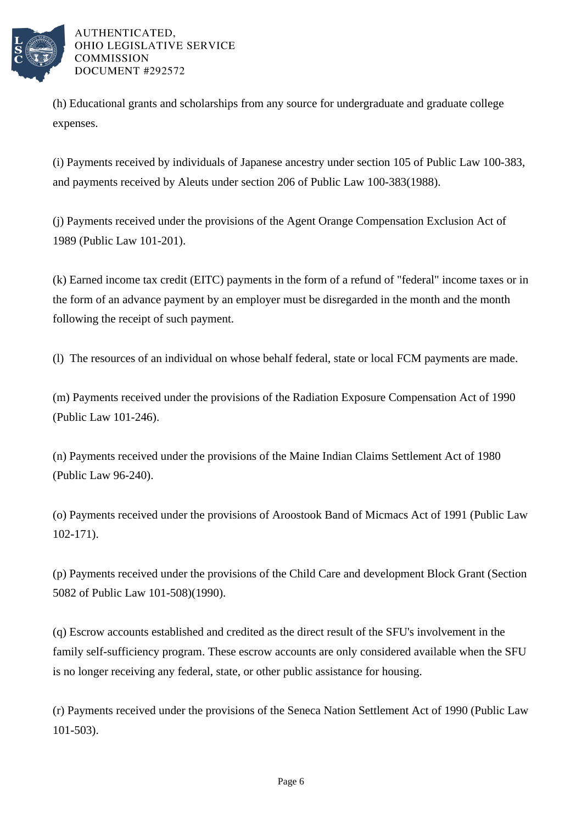

(h) Educational grants and scholarships from any source for undergraduate and graduate college expenses.

(i) Payments received by individuals of Japanese ancestry under section 105 of Public Law 100-383, and payments received by Aleuts under section 206 of Public Law 100-383(1988).

(j) Payments received under the provisions of the Agent Orange Compensation Exclusion Act of 1989 (Public Law 101-201).

(k) Earned income tax credit (EITC) payments in the form of a refund of "federal" income taxes or in the form of an advance payment by an employer must be disregarded in the month and the month following the receipt of such payment.

(1) The resources of an individual on whose behalf federal, state or local FCM payments are made.

(m) Payments received under the provisions of the Radiation Exposure Compensation Act of 1990 (Public Law 101-246).

(n) Payments received under the provisions of the Maine Indian Claims Settlement Act of 1980 (Public Law 96-240).

(o) Payments received under the provisions of Aroostook Band of Micmacs Act of 1991 (Public Law 102-171).

(p) Payments received under the provisions of the Child Care and development Block Grant (Section 5082 of Public Law 101-508)(1990).

(q) Escrow accounts established and credited as the direct result of the SFU's involvement in the family self-sufficiency program. These escrow accounts are only considered available when the SFU is no longer receiving any federal, state, or other public assistance for housing.

(r) Payments received under the provisions of the Seneca Nation Settlement Act of 1990 (Public Law 101-503).